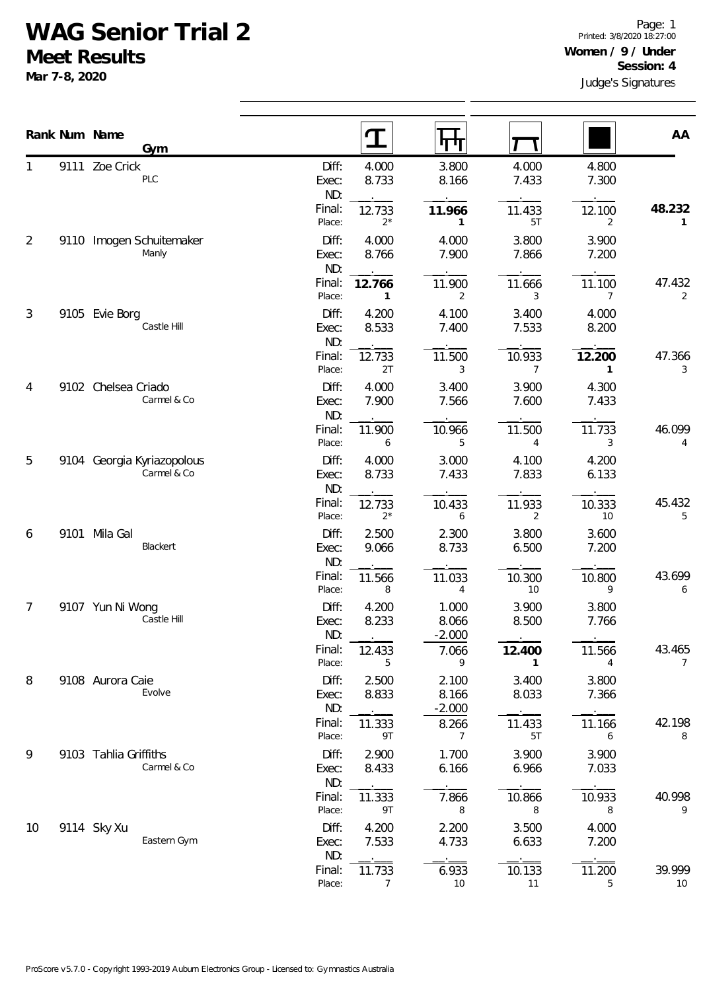## **WAG Senior Trial 2**

**Meet Results**

**Mar 7-8, 2020**

|                |      | Rank Num Name<br>Gym                      |                       | $\mathbf T$     | पग                         |                          |                        | AA                       |
|----------------|------|-------------------------------------------|-----------------------|-----------------|----------------------------|--------------------------|------------------------|--------------------------|
| 1              |      | 9111 Zoe Crick<br>PLC                     | Diff:<br>Exec:<br>ND: | 4.000<br>8.733  | 3.800<br>8.166             | 4.000<br>7.433           | 4.800<br>7.300         |                          |
|                |      |                                           | Final:<br>Place:      | 12.733<br>$2^*$ | 11.966<br>$\mathbf{1}$     | 11.433<br>5T             | 12.100<br>2            | 48.232<br>$\mathbf{1}$   |
| 2              | 9110 | Imogen Schuitemaker<br>Manly              | Diff:<br>Exec:<br>ND: | 4.000<br>8.766  | 4.000<br>7.900             | 3.800<br>7.866           | 3.900<br>7.200         |                          |
|                |      |                                           | Final:<br>Place:      | 12.766<br>1     | 11.900<br>$\overline{2}$   | 11.666<br>3              | 11.100<br>7            | 47.432<br>2              |
| $\mathfrak{Z}$ |      | 9105 Evie Borg<br>Castle Hill             | Diff:<br>Exec:<br>ND: | 4.200<br>8.533  | 4.100<br>7.400             | 3.400<br>7.533           | 4.000<br>8.200         |                          |
|                |      |                                           | Final:<br>Place:      | 12.733<br>2T    | 11.500<br>3                | 10.933<br>$\overline{7}$ | 12.200<br>$\mathbf{1}$ | 47.366<br>3              |
| 4<br>5         |      | 9102 Chelsea Criado<br>Carmel & Co        | Diff:<br>Exec:<br>ND: | 4.000<br>7.900  | 3.400<br>7.566             | 3.900<br>7.600           | 4.300<br>7.433         |                          |
|                |      |                                           | Final:<br>Place:      | 11.900<br>6     | 10.966<br>5                | 11.500<br>4              | 11.733<br>3            | 46.099<br>4              |
|                |      | 9104 Georgia Kyriazopolous<br>Carmel & Co | Diff:<br>Exec:<br>ND: | 4.000<br>8.733  | 3.000<br>7.433             | 4.100<br>7.833           | 4.200<br>6.133         |                          |
|                |      |                                           | Final:<br>Place:      | 12.733<br>$2^*$ | 10.433<br>6                | 11.933<br>2              | 10.333<br>10           | 45.432<br>5              |
| 6              | 9101 | Mila Gal<br>Blackert                      | Diff:<br>Exec:<br>ND: | 2.500<br>9.066  | 2.300<br>8.733             | 3.800<br>6.500           | 3.600<br>7.200         |                          |
|                |      |                                           | Final:<br>Place:      | 11.566<br>8     | 11.033<br>4                | 10.300<br>10             | 10.800<br>9            | 43.699<br>6              |
| 7              |      | 9107 Yun Ni Wong<br>Castle Hill           | Diff:<br>Exec:<br>ND: | 4.200<br>8.233  | 1.000<br>8.066<br>$-2.000$ | 3.900<br>8.500           | 3.800<br>7.766         |                          |
|                |      |                                           | Final:<br>Place:      | 12.433<br>5     | 7.066<br>9                 | 12.400<br>$\mathbf{1}$   | 11.566<br>4            | 43.465<br>$\overline{7}$ |
| 8              |      | 9108 Aurora Caie<br>Evolve                | Diff:<br>Exec:<br>ND: | 2.500<br>8.833  | 2.100<br>8.166<br>$-2.000$ | 3.400<br>8.033           | 3.800<br>7.366         |                          |
|                |      |                                           | Final:<br>Place:      | 11.333<br>9T    | 8.266<br>$\overline{7}$    | 11.433<br>5T             | 11.166<br>6            | 42.198<br>8              |
| 9              |      | 9103 Tahlia Griffiths<br>Carmel & Co      | Diff:<br>Exec:<br>ND: | 2.900<br>8.433  | 1.700<br>6.166             | 3.900<br>6.966           | 3.900<br>7.033         |                          |
|                |      |                                           | Final:<br>Place:      | 11.333<br>9T    | 7.866<br>8                 | 10.866<br>8              | 10.933<br>8            | 40.998<br>9              |
| 10             |      | 9114 Sky Xu<br>Eastern Gym                | Diff:<br>Exec:<br>ND: | 4.200<br>7.533  | 2.200<br>4.733             | 3.500<br>6.633           | 4.000<br>7.200         |                          |
|                |      |                                           | Final:<br>Place:      | 11.733<br>7     | 6.933<br>10                | 10.133<br>11             | 11.200<br>5            | 39.999<br>10             |